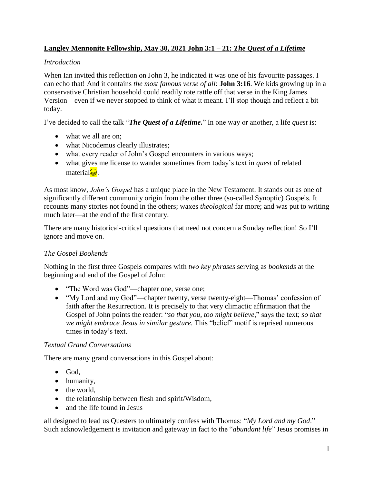# **Langley Mennonite Fellowship, May 30, 2021 John 3:1 – 21:** *The Quest of a Lifetime*

# *Introduction*

When Ian invited this reflection on John 3, he indicated it was one of his favourite passages. I can echo that! And it contains *the most famous verse of all*: **John 3:16**. We kids growing up in a conservative Christian household could readily rote rattle off that verse in the King James Version—even if we never stopped to think of what it meant. I'll stop though and reflect a bit today.

I've decided to call the talk "*The Quest of a Lifetime***.**" In one way or another, a life *quest* is:

- what we all are on;
- what Nicodemus clearly illustrates;
- what every reader of John's Gospel encounters in various ways;
- what gives me license to wander sometimes from today's text in *quest* of related material<sup>.</sup>

As most know, *John's Gospel* has a unique place in the New Testament. It stands out as one of significantly different community origin from the other three (so-called Synoptic) Gospels. It recounts many stories not found in the others; waxes *theological* far more; and was put to writing much later—at the end of the first century.

There are many historical-critical questions that need not concern a Sunday reflection! So I'll ignore and move on.

# *The Gospel Bookends*

Nothing in the first three Gospels compares with *two key phrases* serving as *bookends* at the beginning and end of the Gospel of John:

- "The Word was God"—chapter one, verse one;
- "My Lord and my God"—chapter twenty, verse twenty-eight—Thomas' confession of faith after the Resurrection. It is precisely to that very climactic affirmation that the Gospel of John points the reader: "*so that you, too might believe*," says the text; *so that we might embrace Jesus in similar gesture.* This "belief" motif is reprised numerous times in today's text.

### *Textual Grand Conversations*

There are many grand conversations in this Gospel about:

- $\bullet$  God,
- humanity,
- the world,
- the relationship between flesh and spirit/Wisdom,
- and the life found in Jesus—

all designed to lead us Questers to ultimately confess with Thomas: "*My Lord and my God*." Such acknowledgement is invitation and gateway in fact to the "*abundant life*" Jesus promises in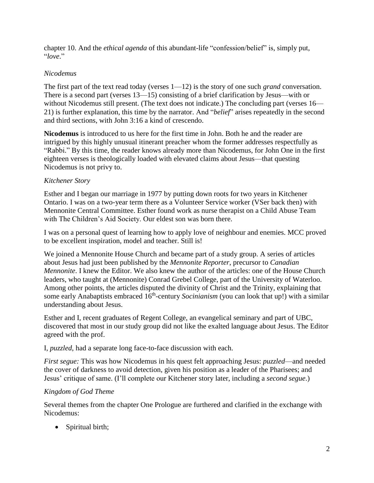chapter 10. And the *ethical agenda* of this abundant-life "confession/belief" is, simply put, "*love*."

# *Nicodemus*

The first part of the text read today (verses 1—12) is the story of one such *grand* conversation. There is a second part (verses 13—15) consisting of a brief clarification by Jesus—with or without Nicodemus still present. (The text does not indicate.) The concluding part (verses 16— 21) is further explanation, this time by the narrator. And "*belief*" arises repeatedly in the second and third sections, with John 3:16 a kind of crescendo.

**Nicodemus** is introduced to us here for the first time in John. Both he and the reader are intrigued by this highly unusual itinerant preacher whom the former addresses respectfully as "Rabbi." By this time, the reader knows already more than Nicodemus, for John One in the first eighteen verses is theologically loaded with elevated claims about Jesus—that questing Nicodemus is not privy to.

### *Kitchener Story*

Esther and I began our marriage in 1977 by putting down roots for two years in Kitchener Ontario. I was on a two-year term there as a Volunteer Service worker (VSer back then) with Mennonite Central Committee. Esther found work as nurse therapist on a Child Abuse Team with The Children's Aid Society. Our eldest son was born there.

I was on a personal quest of learning how to apply love of neighbour and enemies. MCC proved to be excellent inspiration, model and teacher. Still is!

We joined a Mennonite House Church and became part of a study group. A series of articles about Jesus had just been published by the *Mennonite Reporter*, precursor to *Canadian Mennonite*. I knew the Editor. We also knew the author of the articles: one of the House Church leaders, who taught at (Mennonite) Conrad Grebel College, part of the University of Waterloo. Among other points, the articles disputed the divinity of Christ and the Trinity, explaining that some early Anabaptists embraced 16<sup>th</sup>-century *Socinianism* (you can look that up!) with a similar understanding about Jesus.

Esther and I, recent graduates of Regent College, an evangelical seminary and part of UBC, discovered that most in our study group did not like the exalted language about Jesus. The Editor agreed with the prof.

I, *puzzled*, had a separate long face-to-face discussion with each.

*First segue:* This was how Nicodemus in his quest felt approaching Jesus: *puzzled*—and needed the cover of darkness to avoid detection, given his position as a leader of the Pharisees; and Jesus' critique of same. (I'll complete our Kitchener story later, including a *second segue*.)

### *Kingdom of God Theme*

Several themes from the chapter One Prologue are furthered and clarified in the exchange with Nicodemus:

• Spiritual birth;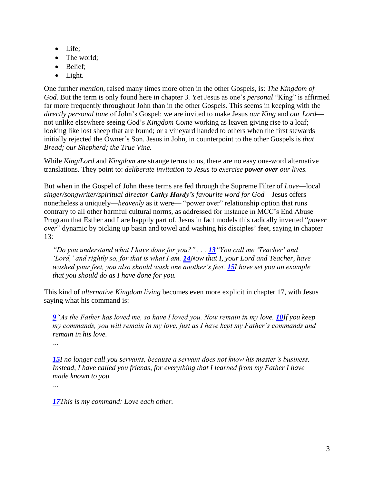- Life;
- The world;
- Belief;
- Light.

One further *mention*, raised many times more often in the other Gospels, is: *The Kingdom of God.* But the term is only found here in chapter 3. Yet Jesus as one's *personal* "King" is affirmed far more frequently throughout John than in the other Gospels. This seems in keeping with the *directly personal tone* of John's Gospel: we are invited to make Jesus *our King* and *our Lord* not unlike elsewhere seeing God's *Kingdom Come* working as leaven giving rise to a loaf; looking like lost sheep that are found; or a vineyard handed to others when the first stewards initially rejected the Owner's Son. Jesus in John, in counterpoint to the other Gospels is *that Bread; our Shepherd; the True Vine.*

While *King/Lord* and *Kingdom* are strange terms to us, there are no easy one-word alternative translations. They point to: *deliberate invitation to Jesus to exercise power over our lives.* 

But when in the Gospel of John these terms are fed through the Supreme Filter of *Love*—local *singer/songwriter/spiritual director Cathy Hardy's favourite word for God*—Jesus offers nonetheless a uniquely—*heavenly* as it were— "power over" relationship option that runs contrary to all other harmful cultural norms, as addressed for instance in MCC's End Abuse Program that Esther and I are happily part of. Jesus in fact models this radically inverted "*power over*" dynamic by picking up basin and towel and washing his disciples' feet, saying in chapter 13:

*"Do you understand what I have done for you?" . . . [13](http://biblehub.com/john/13-13.htm)"You call me 'Teacher' and 'Lord,' and rightly so, for that is what I am. [14](http://biblehub.com/john/13-14.htm)Now that I, your Lord and Teacher, have washed your feet, you also should wash one another's feet. [15](http://biblehub.com/john/13-15.htm)I have set you an example that you should do as I have done for you.*

This kind of *alternative Kingdom living* becomes even more explicit in chapter 17, with Jesus saying what his command is:

*[9](http://biblehub.com/john/15-9.htm)"As the Father has loved me, so have I loved you. Now remain in my love. [10](http://biblehub.com/john/15-10.htm)If you keep my commands, you will remain in my love, just as I have kept my Father's commands and remain in his love.*

*…*

*[15](http://biblehub.com/john/15-15.htm)I no longer call you servants, because a servant does not know his master's business. Instead, I have called you friends, for everything that I learned from my Father I have made known to you.*

*…*

*[17](http://biblehub.com/john/15-17.htm)This is my command: Love each other.*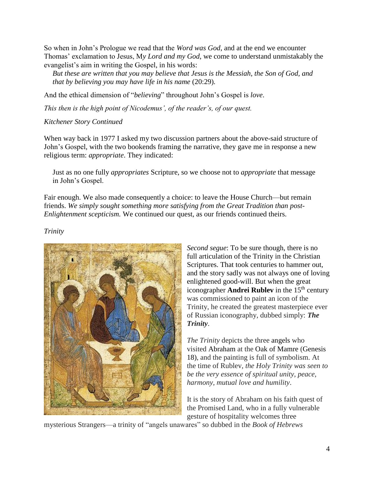So when in John's Prologue we read that the *Word was God*, and at the end we encounter Thomas' exclamation to Jesus, M*y Lord and my God*, we come to understand unmistakably the evangelist's aim in writing the Gospel, in his words:

*But these are written that you may believe that Jesus is the Messiah, the Son of God, and that by believing you may have life in his name* (20:29)*.*

And the ethical dimension of "*believing*" throughout John's Gospel is *love*.

*This then is the high point of Nicodemus', of the reader's, of our quest.*

### *Kitchener Story Continued*

When way back in 1977 I asked my two discussion partners about the above-said structure of John's Gospel, with the two bookends framing the narrative, they gave me in response a new religious term: *appropriate*. They indicated:

Just as no one fully *appropriates* Scripture, so we choose not to *appropriate* that message in John's Gospel.

Fair enough. We also made consequently a choice: to leave the House Church—but remain friends. *We simply sought something more satisfying from the Great Tradition than post-Enlightenment scepticism.* We continued our quest, as our friends continued theirs.

#### *Trinity*



*Second segue*: To be sure though, there is no full articulation of the Trinity in the Christian Scriptures. That took centuries to hammer out, and the story sadly was not always one of loving enlightened good-will. But when the great iconographer **Andrei Rubley** in the  $15<sup>th</sup>$  century was commissioned to paint an icon of the Trinity, he created the greatest masterpiece ever of Russian iconography, dubbed simply: *The Trinity*.

*The Trinity* depicts the three angels who visited Abraham at the Oak of Mamre (Genesis 18), and the painting is full of symbolism. At the time of Rublev, *the Holy Trinity was seen to be the very essence of spiritual unity, peace, harmony, mutual love and humility*.

It is the story of Abraham on his faith quest of the Promised Land, who in a fully vulnerable gesture of hospitality welcomes three

mysterious Strangers—a trinity of "angels unawares" so dubbed in the *Book of Hebrews*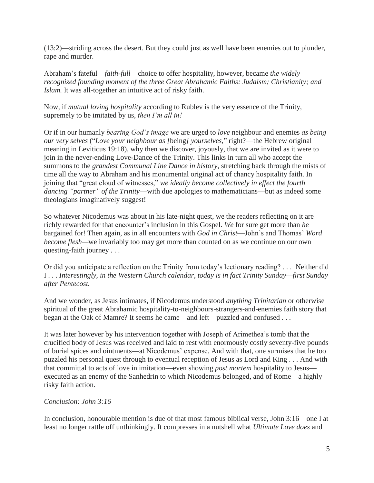(13:2)—striding across the desert. But they could just as well have been enemies out to plunder, rape and murder.

Abraham's fateful—*faith-full*—choice to offer hospitality, however, became *the widely recognized founding moment of the three Great Abrahamic Faiths: Judaism; Christianity; and Islam.* It was all-together an intuitive act of risky faith.

Now, if *mutual loving hospitality* according to Rublev is the very essence of the Trinity, supremely to be imitated by us, *then I'm all in!*

Or if in our humanly *bearing God's image* we are urged to *love* neighbour and enemies *as being our very selves* ("*Love your neighbour as [*being*] yourselves,*" right?—the Hebrew original meaning in Leviticus 19:18), why then we discover, joyously, that we are invited as it were to join in the never-ending Love-Dance of the Trinity. This links in turn all who accept the summons to the *grandest Communal Line Dance in history*, stretching back through the mists of time all the way to Abraham and his monumental original act of chancy hospitality faith. In joining that "great cloud of witnesses," *we ideally become collectively in effect the fourth dancing "partner" of the Trinity*—with due apologies to mathematicians—but as indeed some theologians imaginatively suggest!

So whatever Nicodemus was about in his late-night quest, we the readers reflecting on it are richly rewarded for that encounter's inclusion in this Gospel. *We* for sure get more than *he* bargained for! Then again, as in all encounters with *God in Christ*—John's and Thomas' *Word become flesh—*we invariably too may get more than counted on as we continue on our own questing-faith journey . . .

Or did you anticipate a reflection on the Trinity from today's lectionary reading? . . . Neither did I . . . *Interestingly, in the Western Church calendar, today is in fact Trinity Sunday—first Sunday after Pentecost.*

And we wonder, as Jesus intimates, if Nicodemus understood *anything Trinitarian* or otherwise spiritual of the great Abrahamic hospitality-to-neighbours-strangers-and-enemies faith story that began at the Oak of Mamre? It seems he came—and left—puzzled and confused . . .

It was later however by his intervention together with Joseph of Arimethea's tomb that the crucified body of Jesus was received and laid to rest with enormously costly seventy-five pounds of burial spices and ointments—at Nicodemus' expense. And with that, one surmises that he too puzzled his personal quest through to eventual reception of Jesus as Lord and King . . . And with that committal to acts of love in imitation—even showing *post mortem* hospitality to Jesus executed as an enemy of the Sanhedrin to which Nicodemus belonged, and of Rome—a highly risky faith action.

### *Conclusion: John 3:16*

In conclusion, honourable mention is due of that most famous biblical verse, John 3:16—one I at least no longer rattle off unthinkingly. It compresses in a nutshell what *Ultimate Love does* and